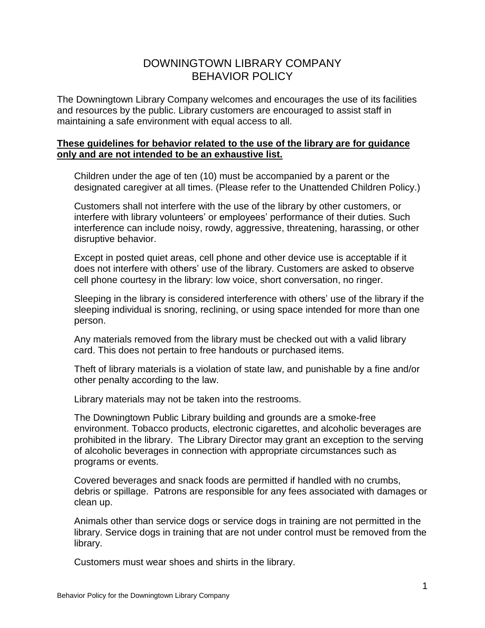## DOWNINGTOWN LIBRARY COMPANY BEHAVIOR POLICY

The Downingtown Library Company welcomes and encourages the use of its facilities and resources by the public. Library customers are encouraged to assist staff in maintaining a safe environment with equal access to all.

## **These guidelines for behavior related to the use of the library are for guidance only and are not intended to be an exhaustive list.**

Children under the age of ten (10) must be accompanied by a parent or the designated caregiver at all times. (Please refer to the Unattended Children Policy.)

Customers shall not interfere with the use of the library by other customers, or interfere with library volunteers' or employees' performance of their duties. Such interference can include noisy, rowdy, aggressive, threatening, harassing, or other disruptive behavior.

Except in posted quiet areas, cell phone and other device use is acceptable if it does not interfere with others' use of the library. Customers are asked to observe cell phone courtesy in the library: low voice, short conversation, no ringer.

Sleeping in the library is considered interference with others' use of the library if the sleeping individual is snoring, reclining, or using space intended for more than one person.

Any materials removed from the library must be checked out with a valid library card. This does not pertain to free handouts or purchased items.

Theft of library materials is a violation of state law, and punishable by a fine and/or other penalty according to the law.

Library materials may not be taken into the restrooms.

The Downingtown Public Library building and grounds are a smoke-free environment. Tobacco products, electronic cigarettes, and alcoholic beverages are prohibited in the library. The Library Director may grant an exception to the serving of alcoholic beverages in connection with appropriate circumstances such as programs or events.

Covered beverages and snack foods are permitted if handled with no crumbs, debris or spillage. Patrons are responsible for any fees associated with damages or clean up.

Animals other than service dogs or service dogs in training are not permitted in the library. Service dogs in training that are not under control must be removed from the library.

Customers must wear shoes and shirts in the library.